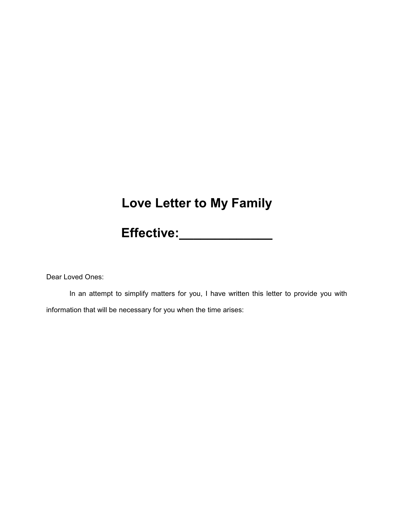## **Love Letter to My Family**

**Effective:\_\_\_\_\_\_\_\_\_\_\_\_\_**

Dear Loved Ones:

In an attempt to simplify matters for you, I have written this letter to provide you with information that will be necessary for you when the time arises: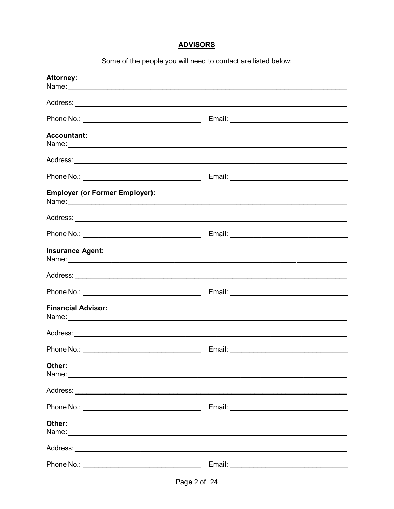### **ADVISORS**

Some of the people you will need to contact are listed below:

| <b>Attorney:</b>                      |                                      |
|---------------------------------------|--------------------------------------|
|                                       |                                      |
|                                       | Email: <u>Contract Communication</u> |
| <b>Accountant:</b>                    |                                      |
|                                       |                                      |
|                                       |                                      |
| <b>Employer (or Former Employer):</b> |                                      |
|                                       |                                      |
|                                       |                                      |
| <b>Insurance Agent:</b>               |                                      |
|                                       |                                      |
|                                       |                                      |
| <b>Financial Advisor:</b>             |                                      |
|                                       |                                      |
|                                       |                                      |
| Other:                                |                                      |
|                                       |                                      |
|                                       |                                      |
| Other:                                |                                      |
|                                       |                                      |
|                                       |                                      |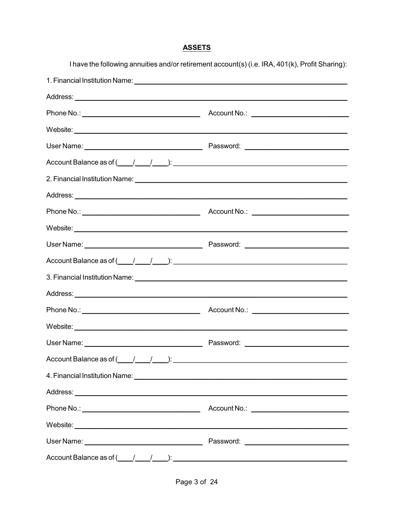### **ASSETS**

I have the following annuities and/or retirement account(s) (i.e. IRA, 401(k), Profit Sharing):

| $Account Balance as of ( / ).$                                                                      |                                                  |
|-----------------------------------------------------------------------------------------------------|--------------------------------------------------|
|                                                                                                     |                                                  |
|                                                                                                     |                                                  |
|                                                                                                     |                                                  |
|                                                                                                     |                                                  |
|                                                                                                     |                                                  |
| Account Balance as of $(\_\_\_\_\_\_\_\_\_\_\_\_\_\$                                                |                                                  |
|                                                                                                     |                                                  |
|                                                                                                     |                                                  |
|                                                                                                     |                                                  |
|                                                                                                     |                                                  |
|                                                                                                     |                                                  |
| Account Balance as of $\underline{($ $\underline{}/\underline{$ $/$ $\underline{}/\underline{})}$ : |                                                  |
| 4. Financial Institution Name: <u>Cambridge Communication and Communications</u>                    |                                                  |
|                                                                                                     |                                                  |
|                                                                                                     | Account No.: <u>____________________________</u> |
|                                                                                                     |                                                  |
|                                                                                                     |                                                  |
| Account Balance as of $\underline{($ $\underline{)}$ $\underline{)}$ :                              |                                                  |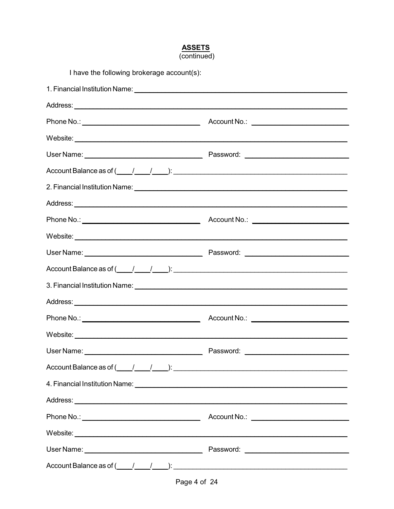#### **ASSETS**  $\overline{\text{(continued)}}$

| I have the following brokerage account(s):                                                                                                                                                                                     |           |
|--------------------------------------------------------------------------------------------------------------------------------------------------------------------------------------------------------------------------------|-----------|
|                                                                                                                                                                                                                                |           |
|                                                                                                                                                                                                                                |           |
|                                                                                                                                                                                                                                |           |
|                                                                                                                                                                                                                                |           |
|                                                                                                                                                                                                                                |           |
| Account Balance as of $\underline{($ $\underline{}/$ $\underline{}/$ $\underline{)}$ :                                                                                                                                         |           |
| 2. Financial Institution Name: 2008 and 2009 and 2009 and 2009 and 2009 and 2009 and 2009 and 2009 and 2009 and 2009 and 2009 and 2009 and 2009 and 2009 and 2009 and 2009 and 2009 and 2009 and 2009 and 2009 and 2009 and 20 |           |
|                                                                                                                                                                                                                                |           |
|                                                                                                                                                                                                                                |           |
|                                                                                                                                                                                                                                |           |
|                                                                                                                                                                                                                                |           |
| Account Balance as of $(\_\_\_\_\_\_\_\_\_\_\_\_\_\_\_\_$ .                                                                                                                                                                    |           |
| 3. Financial Institution Name: 1997 Manual Annual Annual Annual Annual Annual Annual Annual Annual Annual Annu                                                                                                                 |           |
|                                                                                                                                                                                                                                |           |
|                                                                                                                                                                                                                                |           |
|                                                                                                                                                                                                                                |           |
| User Name:                                                                                                                                                                                                                     | Password: |
| Account Balance as of $\underline{(1,1,1)}$ : $\underline{(1,1,1)}$ :                                                                                                                                                          |           |
|                                                                                                                                                                                                                                |           |
|                                                                                                                                                                                                                                |           |
|                                                                                                                                                                                                                                |           |
| Website:                                                                                                                                                                                                                       |           |
|                                                                                                                                                                                                                                |           |
| Account Balance as of $(\_\_\_\_\_\_\_\_\_\_\_\_\_\_\_\_\_$                                                                                                                                                                    |           |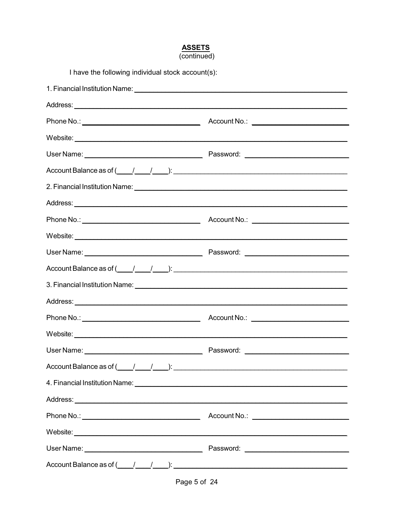#### **ASSETS**  $\overline{\text{(continued)}}$

| I have the following individual stock account(s):                                                              |           |
|----------------------------------------------------------------------------------------------------------------|-----------|
|                                                                                                                |           |
|                                                                                                                |           |
|                                                                                                                |           |
|                                                                                                                |           |
|                                                                                                                |           |
| Account Balance as of $(\_\_\_\_\_\_\_\_\_\_\_\_\_\_\_$ .                                                      |           |
|                                                                                                                |           |
|                                                                                                                |           |
|                                                                                                                |           |
|                                                                                                                |           |
|                                                                                                                |           |
| Account Balance as of $(\_\_\_\_\_\_\_\_\_\_\_\_\_\_\_$                                                        |           |
| 3. Financial Institution Name: 1988 March 1988 March 2008 March 2008 March 2008 March 2008 March 2009 March 20 |           |
|                                                                                                                |           |
|                                                                                                                |           |
|                                                                                                                |           |
| User Name:                                                                                                     | Password: |
| Account Balance as of $(\_\_\_\_\_\_\_\_\_\_\_\_\_\_\_$                                                        |           |
|                                                                                                                |           |
|                                                                                                                |           |
|                                                                                                                |           |
|                                                                                                                |           |
|                                                                                                                |           |
| Account Balance as of $(\_\_\_\_\_\_\_\_\_\_\_\_\_\_\_\_\_$                                                    |           |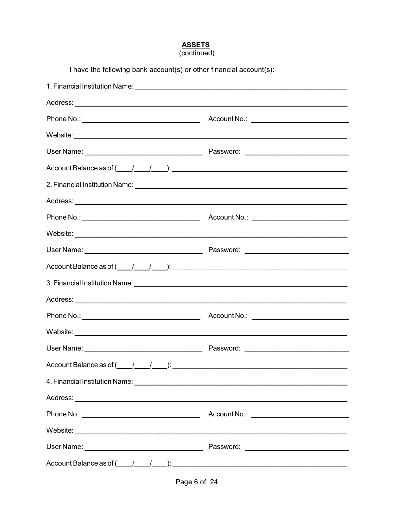## **ASSETS**<br>(continued)

| I have the following bank account(s) or other financial account(s):                                                                                                                                                                                                                                                                                                                                                                                     |           |  |
|---------------------------------------------------------------------------------------------------------------------------------------------------------------------------------------------------------------------------------------------------------------------------------------------------------------------------------------------------------------------------------------------------------------------------------------------------------|-----------|--|
| 1. Financial Institution Name: 1. 2008 10:00 10:00 10:00 10:00 10:00 10:00 10:00 10:00 10:00 10:00 10:00 10:00                                                                                                                                                                                                                                                                                                                                          |           |  |
|                                                                                                                                                                                                                                                                                                                                                                                                                                                         |           |  |
|                                                                                                                                                                                                                                                                                                                                                                                                                                                         |           |  |
|                                                                                                                                                                                                                                                                                                                                                                                                                                                         |           |  |
|                                                                                                                                                                                                                                                                                                                                                                                                                                                         |           |  |
|                                                                                                                                                                                                                                                                                                                                                                                                                                                         |           |  |
|                                                                                                                                                                                                                                                                                                                                                                                                                                                         |           |  |
|                                                                                                                                                                                                                                                                                                                                                                                                                                                         |           |  |
|                                                                                                                                                                                                                                                                                                                                                                                                                                                         |           |  |
|                                                                                                                                                                                                                                                                                                                                                                                                                                                         |           |  |
|                                                                                                                                                                                                                                                                                                                                                                                                                                                         |           |  |
| Account Balance as of $(\_\_\_\_\_\_\_\_\_\_\_\_\_\_\_\_$                                                                                                                                                                                                                                                                                                                                                                                               |           |  |
| 3. Financial Institution Name: <u>Communication of the Communication</u> Communication of the Communication of the Communication of the Communication of the Communication of the Communication of the Communication of the Communi                                                                                                                                                                                                                     |           |  |
|                                                                                                                                                                                                                                                                                                                                                                                                                                                         |           |  |
|                                                                                                                                                                                                                                                                                                                                                                                                                                                         |           |  |
|                                                                                                                                                                                                                                                                                                                                                                                                                                                         |           |  |
| User Name:                                                                                                                                                                                                                                                                                                                                                                                                                                              | Password: |  |
| Account Balance as of $\underline{(1,1,1)}$ : $\underline{(2,1,1)}$ :                                                                                                                                                                                                                                                                                                                                                                                   |           |  |
|                                                                                                                                                                                                                                                                                                                                                                                                                                                         |           |  |
|                                                                                                                                                                                                                                                                                                                                                                                                                                                         |           |  |
|                                                                                                                                                                                                                                                                                                                                                                                                                                                         |           |  |
|                                                                                                                                                                                                                                                                                                                                                                                                                                                         |           |  |
|                                                                                                                                                                                                                                                                                                                                                                                                                                                         |           |  |
| Account Balance as of $\underline{\hspace{1cm}}$ $\underline{\hspace{1cm}}$ $\underline{\hspace{1cm}}$ $\underline{\hspace{1cm}}$ $\underline{\hspace{1cm}}$ $\underline{\hspace{1cm}}$ $\underline{\hspace{1cm}}$ $\underline{\hspace{1cm}}$ $\underline{\hspace{1cm}}$ $\underline{\hspace{1cm}}$ $\underline{\hspace{1cm}}$ $\underline{\hspace{1cm}}$ $\underline{\hspace{1cm}}$ $\underline{\hspace{1cm}}$ $\underline{\hspace{1cm}}$ $\underline$ |           |  |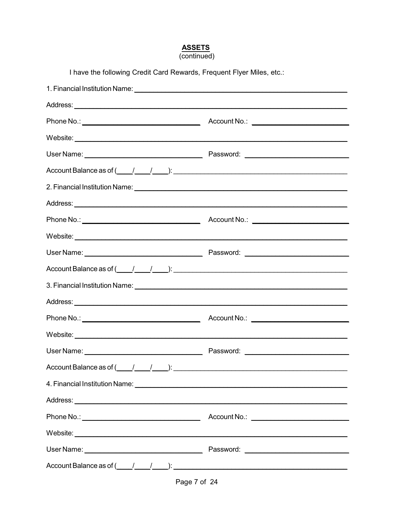### **ASSETS**

| (continued) |  |
|-------------|--|
|             |  |

| I have the following Credit Card Rewards, Frequent Flyer Miles, etc.: |  |  |
|-----------------------------------------------------------------------|--|--|
|                                                                       |  |  |
|                                                                       |  |  |
|                                                                       |  |  |
|                                                                       |  |  |
|                                                                       |  |  |
|                                                                       |  |  |
|                                                                       |  |  |
|                                                                       |  |  |
|                                                                       |  |  |
|                                                                       |  |  |
|                                                                       |  |  |
| Account Balance as of $(\_\_\_\_\_\_\_\_\_\_\_\_\_\_\_$ .             |  |  |
|                                                                       |  |  |
|                                                                       |  |  |
|                                                                       |  |  |
|                                                                       |  |  |
|                                                                       |  |  |
| Account Balance as of $(\_\_\_\_\_\_\_\_\_\_\_\_\_\_\_\_$             |  |  |
|                                                                       |  |  |
|                                                                       |  |  |
|                                                                       |  |  |
|                                                                       |  |  |
|                                                                       |  |  |
| Account Balance as of $(\_\_\_\_\_\_\_\_\_\_\_\_\_\_\_\_\_$           |  |  |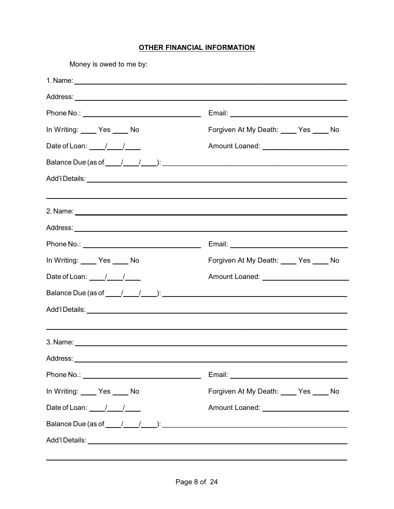#### **OTHER FINANCIAL INFORMATION**

| Money is owed to me by:                                                                                                                                                                                                                                                                                                                                                                                     |                                                       |
|-------------------------------------------------------------------------------------------------------------------------------------------------------------------------------------------------------------------------------------------------------------------------------------------------------------------------------------------------------------------------------------------------------------|-------------------------------------------------------|
|                                                                                                                                                                                                                                                                                                                                                                                                             |                                                       |
|                                                                                                                                                                                                                                                                                                                                                                                                             |                                                       |
|                                                                                                                                                                                                                                                                                                                                                                                                             |                                                       |
| In Writing: Yes _____ No                                                                                                                                                                                                                                                                                                                                                                                    | Forgiven At My Death: Ves _____ No                    |
| Date of Loan: $\frac{1}{\sqrt{1-\frac{1}{2}}}$                                                                                                                                                                                                                                                                                                                                                              |                                                       |
|                                                                                                                                                                                                                                                                                                                                                                                                             |                                                       |
|                                                                                                                                                                                                                                                                                                                                                                                                             |                                                       |
|                                                                                                                                                                                                                                                                                                                                                                                                             |                                                       |
|                                                                                                                                                                                                                                                                                                                                                                                                             |                                                       |
|                                                                                                                                                                                                                                                                                                                                                                                                             |                                                       |
|                                                                                                                                                                                                                                                                                                                                                                                                             |                                                       |
| In Writing: Ves _____ No                                                                                                                                                                                                                                                                                                                                                                                    | Forgiven At My Death: Yes _____ No                    |
| Date of Loan: $\frac{1}{\sqrt{1-\frac{1}{2}}}$                                                                                                                                                                                                                                                                                                                                                              | Amount Loaned: <u>New York Contract Communication</u> |
| Balance Due (as of $\frac{1}{\sqrt{2}}$ ): $\frac{1}{\sqrt{2}}$ and $\frac{1}{\sqrt{2}}$ and $\frac{1}{\sqrt{2}}$ and $\frac{1}{\sqrt{2}}$ and $\frac{1}{\sqrt{2}}$ and $\frac{1}{\sqrt{2}}$ and $\frac{1}{\sqrt{2}}$ and $\frac{1}{\sqrt{2}}$ and $\frac{1}{\sqrt{2}}$ and $\frac{1}{\sqrt{2}}$ and $\frac{1}{\sqrt{2}}$ and                                                                               |                                                       |
|                                                                                                                                                                                                                                                                                                                                                                                                             |                                                       |
|                                                                                                                                                                                                                                                                                                                                                                                                             |                                                       |
|                                                                                                                                                                                                                                                                                                                                                                                                             |                                                       |
|                                                                                                                                                                                                                                                                                                                                                                                                             |                                                       |
|                                                                                                                                                                                                                                                                                                                                                                                                             |                                                       |
| In Writing: Yes _____ No                                                                                                                                                                                                                                                                                                                                                                                    | Forgiven At My Death: Ves ____ No                     |
| Date of Loan: $\frac{1}{1-\frac{1}{1-\frac{1}{1-\frac{1}{1-\frac{1}{1-\frac{1}{1-\frac{1}{1-\frac{1}{1-\frac{1}{1-\frac{1}{1-\frac{1}{1-\frac{1}{1-\frac{1}{1-\frac{1}{1-\frac{1}{1-\frac{1}{1-\frac{1}{1-\frac{1}{1-\frac{1}{1-\frac{1}{1-\frac{1}{1-\frac{1}{1-\frac{1}{1-\frac{1}{1-\frac{1}{1-\frac{1}{1-\frac{1}{1-\frac{1}{1-\frac{1}{1-\frac{1}{1-\frac{1}{1-\frac{1}{1-\frac{1}{1-\frac{1}{1-\frac$ |                                                       |
|                                                                                                                                                                                                                                                                                                                                                                                                             |                                                       |
|                                                                                                                                                                                                                                                                                                                                                                                                             |                                                       |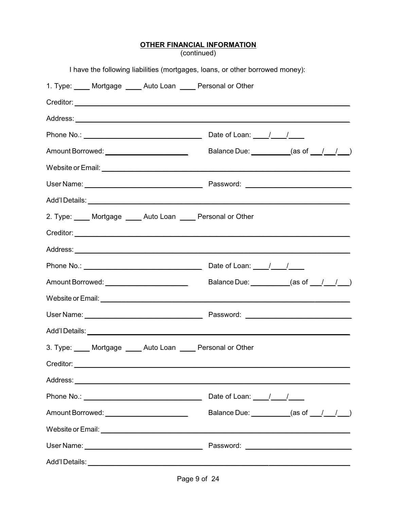# **OTHER FINANCIAL INFORMATION**<br>(continued)

|                                                                 | I have the following liabilities (mortgages, loans, or other borrowed money):                                                                                                                                                        |
|-----------------------------------------------------------------|--------------------------------------------------------------------------------------------------------------------------------------------------------------------------------------------------------------------------------------|
| 1. Type: _____ Mortgage _____ Auto Loan _____ Personal or Other |                                                                                                                                                                                                                                      |
|                                                                 |                                                                                                                                                                                                                                      |
|                                                                 |                                                                                                                                                                                                                                      |
|                                                                 |                                                                                                                                                                                                                                      |
| Amount Borrowed: ________________________                       | Balance Due: _________(as of __/__/__)                                                                                                                                                                                               |
|                                                                 |                                                                                                                                                                                                                                      |
|                                                                 |                                                                                                                                                                                                                                      |
|                                                                 |                                                                                                                                                                                                                                      |
| 2. Type: ____ Mortgage ____ Auto Loan ____ Personal or Other    |                                                                                                                                                                                                                                      |
|                                                                 |                                                                                                                                                                                                                                      |
|                                                                 |                                                                                                                                                                                                                                      |
|                                                                 |                                                                                                                                                                                                                                      |
|                                                                 | Balance Due: $\qquad \qquad$ (as of $\qquad / \qquad / \qquad )$                                                                                                                                                                     |
|                                                                 |                                                                                                                                                                                                                                      |
|                                                                 |                                                                                                                                                                                                                                      |
|                                                                 |                                                                                                                                                                                                                                      |
|                                                                 | 3. Type: _____ Mortgage _____ Auto Loan _____ Personal or Other                                                                                                                                                                      |
|                                                                 |                                                                                                                                                                                                                                      |
|                                                                 |                                                                                                                                                                                                                                      |
|                                                                 | Date of Loan: $\frac{1}{\sqrt{1-\frac{1}{2}}}$                                                                                                                                                                                       |
| Amount Borrowed: _________________________                      | Balance Due: $(as of 1, 1)$                                                                                                                                                                                                          |
|                                                                 | Website or Email: <u>Contract of Email and Contract of the Contract of Contract of Contract of Contract of Contract of Contract of Contract of Contract of Contract of Contract of Contract of Contract of Contract of Contract </u> |
|                                                                 |                                                                                                                                                                                                                                      |
|                                                                 |                                                                                                                                                                                                                                      |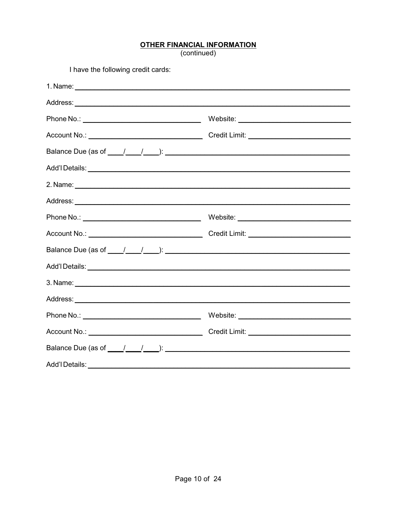## **OTHER FINANCIAL INFORMATION**<br>(continued)

| I have the following credit cards: |  |
|------------------------------------|--|
|                                    |  |
|                                    |  |
|                                    |  |
|                                    |  |
|                                    |  |
|                                    |  |
|                                    |  |
|                                    |  |
|                                    |  |
|                                    |  |
|                                    |  |
|                                    |  |
|                                    |  |
|                                    |  |
|                                    |  |
|                                    |  |
|                                    |  |
| Add'I Details:                     |  |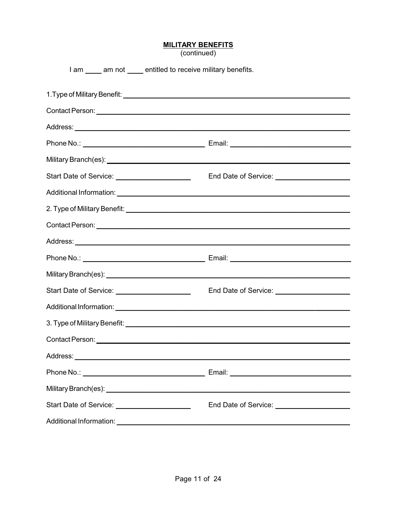| <b>MILITARY BENEFITS</b> |  |
|--------------------------|--|
|--------------------------|--|

(continued)

| I am am not entitled to receive military benefits.                                                                                                                                                                             |                                               |
|--------------------------------------------------------------------------------------------------------------------------------------------------------------------------------------------------------------------------------|-----------------------------------------------|
|                                                                                                                                                                                                                                |                                               |
|                                                                                                                                                                                                                                |                                               |
|                                                                                                                                                                                                                                |                                               |
|                                                                                                                                                                                                                                |                                               |
|                                                                                                                                                                                                                                |                                               |
| Start Date of Service: ______________________                                                                                                                                                                                  | End Date of Service: ________________________ |
|                                                                                                                                                                                                                                |                                               |
|                                                                                                                                                                                                                                |                                               |
|                                                                                                                                                                                                                                |                                               |
|                                                                                                                                                                                                                                |                                               |
|                                                                                                                                                                                                                                |                                               |
|                                                                                                                                                                                                                                |                                               |
|                                                                                                                                                                                                                                | End Date of Service: ________________________ |
|                                                                                                                                                                                                                                |                                               |
| 3. Type of Military Benefit: National Accounts of the Contract of the Contract of the Contract of the Contract of the Contract of the Contract of the Contract of the Contract of the Contract of the Contract of the Contract |                                               |
|                                                                                                                                                                                                                                |                                               |
|                                                                                                                                                                                                                                |                                               |
|                                                                                                                                                                                                                                |                                               |
|                                                                                                                                                                                                                                |                                               |
| Start Date of Service: ______________________                                                                                                                                                                                  |                                               |
|                                                                                                                                                                                                                                |                                               |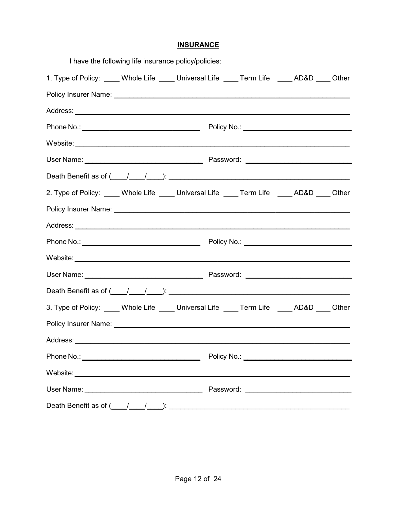#### **INSURANCE**

|                                                                                                                                                                                                                                | I have the following life insurance policy/policies: |  |  |  |
|--------------------------------------------------------------------------------------------------------------------------------------------------------------------------------------------------------------------------------|------------------------------------------------------|--|--|--|
| 1. Type of Policy: ____ Whole Life ____ Universal Life ____ Term Life ____ AD&D ____ Other                                                                                                                                     |                                                      |  |  |  |
|                                                                                                                                                                                                                                |                                                      |  |  |  |
|                                                                                                                                                                                                                                |                                                      |  |  |  |
|                                                                                                                                                                                                                                |                                                      |  |  |  |
| Website: Version of the contract of the contract of the contract of the contract of the contract of the contract of the contract of the contract of the contract of the contract of the contract of the contract of the contra |                                                      |  |  |  |
|                                                                                                                                                                                                                                |                                                      |  |  |  |
| Death Benefit as of $(\_\_\_\_\_\_\_\$ :                                                                                                                                                                                       |                                                      |  |  |  |
| 2. Type of Policy: ____ Whole Life ____ Universal Life ____ Term Life ____ AD&D ____ Other                                                                                                                                     |                                                      |  |  |  |
|                                                                                                                                                                                                                                |                                                      |  |  |  |
|                                                                                                                                                                                                                                |                                                      |  |  |  |
|                                                                                                                                                                                                                                |                                                      |  |  |  |
|                                                                                                                                                                                                                                |                                                      |  |  |  |
|                                                                                                                                                                                                                                |                                                      |  |  |  |
|                                                                                                                                                                                                                                |                                                      |  |  |  |
| 3. Type of Policy: ____ Whole Life ____ Universal Life ____ Term Life ____ AD&D ____ Other                                                                                                                                     |                                                      |  |  |  |
|                                                                                                                                                                                                                                |                                                      |  |  |  |
| Address:                                                                                                                                                                                                                       |                                                      |  |  |  |
|                                                                                                                                                                                                                                |                                                      |  |  |  |
|                                                                                                                                                                                                                                |                                                      |  |  |  |
|                                                                                                                                                                                                                                |                                                      |  |  |  |
| Death Benefit as of $(\_\_\_\_\_\_\_\_\_\_\_\_\_\_$                                                                                                                                                                            |                                                      |  |  |  |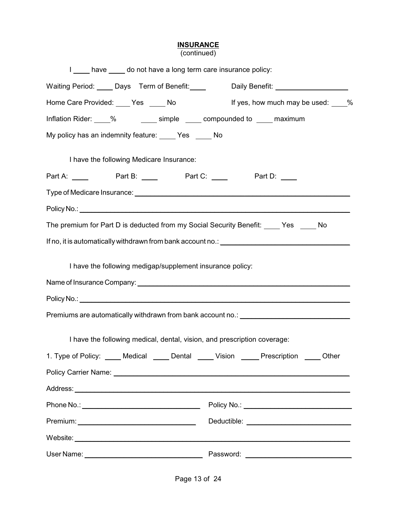#### **INSURANCE**

(continued)

| I ____ have ____ do not have a long term care insurance policy:                           |  |
|-------------------------------------------------------------------------------------------|--|
| Waiting Period: Days Term of Benefit: Daily Benefit: Daily Benefit:                       |  |
| Home Care Provided: ____ Yes _____ No<br>If yes, how much may be used: 16                 |  |
| Inflation Rider: 3 % The Simple 2 compounded to 2 maximum                                 |  |
| My policy has an indemnity feature: Yes No                                                |  |
| I have the following Medicare Insurance:                                                  |  |
| Part A: ______ Part B: _____ Part C: _____ Part D: ____                                   |  |
|                                                                                           |  |
|                                                                                           |  |
| The premium for Part D is deducted from my Social Security Benefit: Yes No                |  |
|                                                                                           |  |
|                                                                                           |  |
| I have the following medigap/supplement insurance policy:                                 |  |
|                                                                                           |  |
|                                                                                           |  |
| Premiums are automatically withdrawn from bank account no.: ____________________          |  |
| I have the following medical, dental, vision, and prescription coverage:                  |  |
| 1. Type of Policy: _____ Medical _____ Dental _____ Vision _____ Prescription _____ Other |  |
|                                                                                           |  |
|                                                                                           |  |
|                                                                                           |  |
|                                                                                           |  |
|                                                                                           |  |
|                                                                                           |  |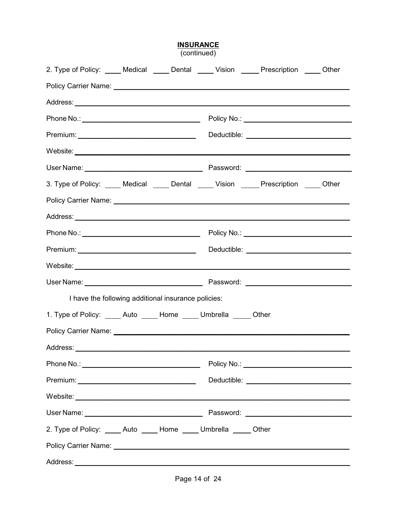| 2. Type of Policy: _____ Medical _____ Dental _____ Vision _____ Prescription _____ Other                                                                                                                                            |  |                                            |  |
|--------------------------------------------------------------------------------------------------------------------------------------------------------------------------------------------------------------------------------------|--|--------------------------------------------|--|
|                                                                                                                                                                                                                                      |  |                                            |  |
|                                                                                                                                                                                                                                      |  |                                            |  |
|                                                                                                                                                                                                                                      |  | Policy No.: ______________________________ |  |
|                                                                                                                                                                                                                                      |  |                                            |  |
| Website: <u>with the contract of the contract of the contract of the contract of the contract of the contract of the contract of the contract of the contract of the contract of the contract of the contract of the contract of</u> |  |                                            |  |
|                                                                                                                                                                                                                                      |  |                                            |  |
| 3. Type of Policy: _____ Medical _____ Dental _____ Vision _____ Prescription _____ Other                                                                                                                                            |  |                                            |  |
|                                                                                                                                                                                                                                      |  |                                            |  |
|                                                                                                                                                                                                                                      |  |                                            |  |
|                                                                                                                                                                                                                                      |  |                                            |  |
|                                                                                                                                                                                                                                      |  |                                            |  |
|                                                                                                                                                                                                                                      |  |                                            |  |
|                                                                                                                                                                                                                                      |  |                                            |  |
| I have the following additional insurance policies:                                                                                                                                                                                  |  |                                            |  |
| 1. Type of Policy: _____ Auto _____ Home _____ Umbrella _____ Other                                                                                                                                                                  |  |                                            |  |
|                                                                                                                                                                                                                                      |  |                                            |  |
|                                                                                                                                                                                                                                      |  |                                            |  |
|                                                                                                                                                                                                                                      |  |                                            |  |
|                                                                                                                                                                                                                                      |  |                                            |  |
|                                                                                                                                                                                                                                      |  |                                            |  |
|                                                                                                                                                                                                                                      |  |                                            |  |
| 2. Type of Policy: _____ Auto _____ Home _____ Umbrella _____ Other                                                                                                                                                                  |  |                                            |  |
|                                                                                                                                                                                                                                      |  |                                            |  |
|                                                                                                                                                                                                                                      |  |                                            |  |

**INSURANCE**<br>(continued)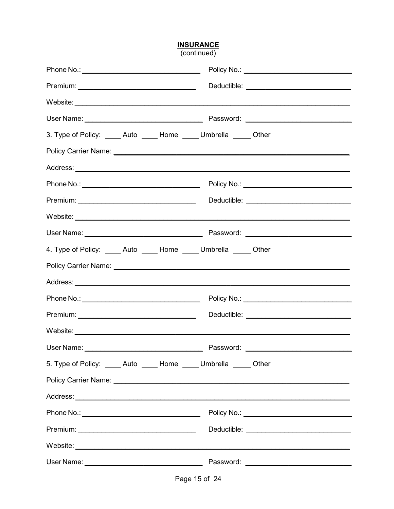# **INSURANCE**<br>(continued)

| 3. Type of Policy: _____ Auto _____ Home _____ Umbrella _____ Other |  |                                                                                                                                                                                                                                      |
|---------------------------------------------------------------------|--|--------------------------------------------------------------------------------------------------------------------------------------------------------------------------------------------------------------------------------------|
|                                                                     |  |                                                                                                                                                                                                                                      |
|                                                                     |  |                                                                                                                                                                                                                                      |
|                                                                     |  |                                                                                                                                                                                                                                      |
|                                                                     |  |                                                                                                                                                                                                                                      |
|                                                                     |  |                                                                                                                                                                                                                                      |
|                                                                     |  |                                                                                                                                                                                                                                      |
| 4. Type of Policy: _____ Auto _____ Home _____ Umbrella _____ Other |  |                                                                                                                                                                                                                                      |
|                                                                     |  |                                                                                                                                                                                                                                      |
|                                                                     |  |                                                                                                                                                                                                                                      |
|                                                                     |  |                                                                                                                                                                                                                                      |
|                                                                     |  |                                                                                                                                                                                                                                      |
|                                                                     |  |                                                                                                                                                                                                                                      |
|                                                                     |  |                                                                                                                                                                                                                                      |
| 5. Type of Policy: _____ Auto _____ Home _____ Umbrella _____ Other |  |                                                                                                                                                                                                                                      |
|                                                                     |  |                                                                                                                                                                                                                                      |
|                                                                     |  |                                                                                                                                                                                                                                      |
|                                                                     |  |                                                                                                                                                                                                                                      |
|                                                                     |  |                                                                                                                                                                                                                                      |
|                                                                     |  | Website: <u>with the contract of the contract of the contract of the contract of the contract of the contract of the contract of the contract of the contract of the contract of the contract of the contract of the contract of</u> |
|                                                                     |  |                                                                                                                                                                                                                                      |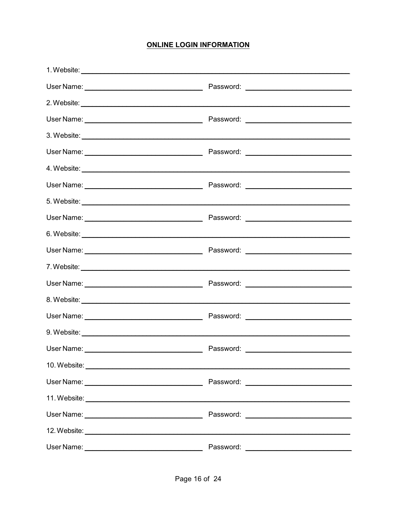#### **ONLINE LOGIN INFORMATION**

| User Name: | Password: |
|------------|-----------|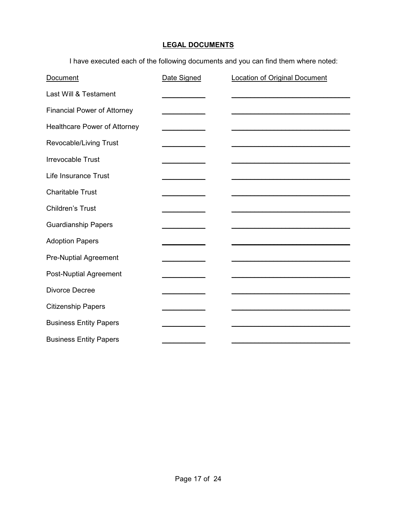### **LEGAL DOCUMENTS**

I have executed each of the following documents and you can find them where noted:

| Document                           | Date Signed | <b>Location of Original Document</b> |
|------------------------------------|-------------|--------------------------------------|
| Last Will & Testament              |             |                                      |
| <b>Financial Power of Attorney</b> |             |                                      |
| Healthcare Power of Attorney       |             |                                      |
| Revocable/Living Trust             |             |                                      |
| <b>Irrevocable Trust</b>           |             |                                      |
| Life Insurance Trust               |             |                                      |
| <b>Charitable Trust</b>            |             |                                      |
| Children's Trust                   |             |                                      |
| <b>Guardianship Papers</b>         |             |                                      |
| <b>Adoption Papers</b>             |             |                                      |
| <b>Pre-Nuptial Agreement</b>       |             |                                      |
| <b>Post-Nuptial Agreement</b>      |             |                                      |
| Divorce Decree                     |             |                                      |
| <b>Citizenship Papers</b>          |             |                                      |
| <b>Business Entity Papers</b>      |             |                                      |
| <b>Business Entity Papers</b>      |             |                                      |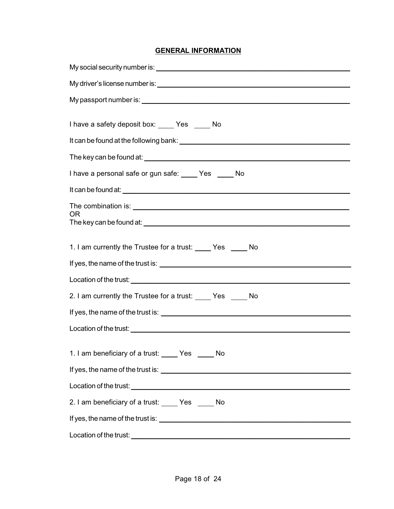#### **GENERAL INFORMATION**

| I have a safety deposit box: Yes No                                              |
|----------------------------------------------------------------------------------|
|                                                                                  |
|                                                                                  |
| I have a personal safe or gun safe: Ves ____ No                                  |
|                                                                                  |
| The combination is: <u>example and the combination</u> is:                       |
| OR.                                                                              |
|                                                                                  |
| 1. I am currently the Trustee for a trust: _____ Yes _____ No                    |
|                                                                                  |
|                                                                                  |
| 2. I am currently the Trustee for a trust: Yes No                                |
|                                                                                  |
|                                                                                  |
|                                                                                  |
| 1. I am beneficiary of a trust: Yes No                                           |
|                                                                                  |
|                                                                                  |
| 2. I am beneficiary of a trust: Yes No                                           |
|                                                                                  |
| Location of the trust:<br><u> 1980 - Johann Amerikaanse kommunister († 1950)</u> |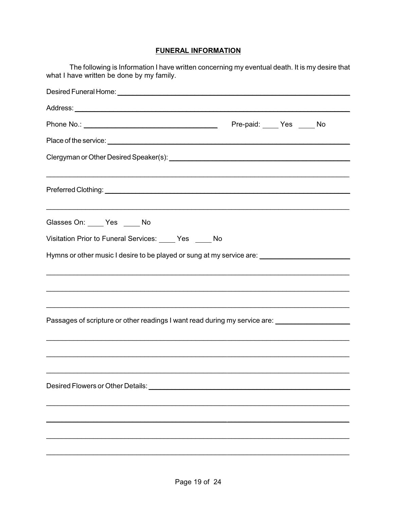#### **FUNERAL INFORMATION**

| The following is Information I have written concerning my eventual death. It is my desire that<br>what I have written be done by my family.                                                        |  |  |
|----------------------------------------------------------------------------------------------------------------------------------------------------------------------------------------------------|--|--|
|                                                                                                                                                                                                    |  |  |
|                                                                                                                                                                                                    |  |  |
|                                                                                                                                                                                                    |  |  |
|                                                                                                                                                                                                    |  |  |
|                                                                                                                                                                                                    |  |  |
|                                                                                                                                                                                                    |  |  |
| Glasses On: _____ Yes _____ No                                                                                                                                                                     |  |  |
| Visitation Prior to Funeral Services: Ves ____ No                                                                                                                                                  |  |  |
| Hymns or other music I desire to be played or sung at my service are: _____________________________                                                                                                |  |  |
| <u> 1999 - Johann John Harry Harry Harry Harry Harry Harry Harry Harry Harry Harry Harry Harry Harry Harry Harry</u><br>Passages of scripture or other readings I want read during my service are: |  |  |
| Desired Flowers or Other Details: North Contract of the Contract of the Contract of the Contract of the Contract of                                                                                |  |  |
|                                                                                                                                                                                                    |  |  |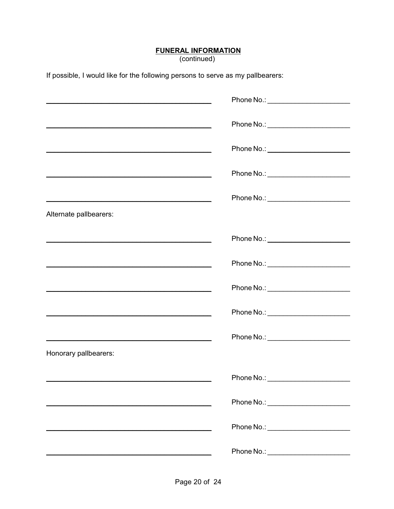# **FUNERAL INFORMATION**<br>(continued)

If possible, I would like for the following persons to serve as my pallbearers:

|                                                                                                                            | Phone No.: _________________________  |
|----------------------------------------------------------------------------------------------------------------------------|---------------------------------------|
|                                                                                                                            | Phone No.: ________________________   |
| <u> 1989 - Johann Barbara, martxa alemaniar amerikan a</u>                                                                 |                                       |
| <u> 1980 - Johann Barbara, martxa eta politikaria (h. 1908).</u>                                                           | Phone No.: _________________________  |
|                                                                                                                            | Phone No.: ________________________   |
| Alternate pallbearers:                                                                                                     |                                       |
| <u> 1989 - Johann John Stone, market fan de Amerikaanske kommunister fan de Amerikaanske kommunister fan de Amerikaans</u> |                                       |
| <u> 1989 - Johann John Stone, market fransk politiker (d. 1989)</u>                                                        |                                       |
|                                                                                                                            | Phone No.: __________________________ |
|                                                                                                                            |                                       |
| <u> 1989 - Johann Stoff, amerikansk politiker (d. 1989)</u>                                                                | Phone No.: _______________________    |
| Honorary pallbearers:                                                                                                      |                                       |
|                                                                                                                            | Phone No.:                            |
|                                                                                                                            | Phone No.: _________________________  |
|                                                                                                                            | Phone No.: ________________________   |
|                                                                                                                            | Phone No.: ________________________   |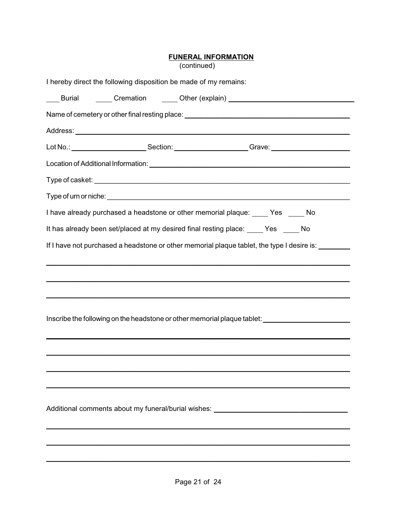# **FUNERAL INFORMATION**<br>(continued)

| I hereby direct the following disposition be made of my remains: |                                                                                                     |
|------------------------------------------------------------------|-----------------------------------------------------------------------------------------------------|
|                                                                  | ____ Burial    _____ Cremation    _____ Other (explain) ________________________                    |
|                                                                  | Name of cemetery or other final resting place: _________________________________                    |
|                                                                  |                                                                                                     |
|                                                                  |                                                                                                     |
|                                                                  |                                                                                                     |
|                                                                  |                                                                                                     |
|                                                                  |                                                                                                     |
|                                                                  | I have already purchased a headstone or other memorial plaque: _____ Yes _____ No                   |
|                                                                  | It has already been set/placed at my desired final resting place: ____ Yes ____ No                  |
|                                                                  | If I have not purchased a headstone or other memorial plaque tablet, the type I desire is: ________ |
|                                                                  |                                                                                                     |
|                                                                  |                                                                                                     |
|                                                                  |                                                                                                     |
|                                                                  |                                                                                                     |
|                                                                  | Inscribe the following on the headstone or other memorial plaque tablet:                            |
|                                                                  |                                                                                                     |
|                                                                  |                                                                                                     |
|                                                                  |                                                                                                     |
|                                                                  |                                                                                                     |
|                                                                  |                                                                                                     |
|                                                                  | Additional comments about my funeral/burial wishes: ____________________________                    |
|                                                                  |                                                                                                     |
|                                                                  |                                                                                                     |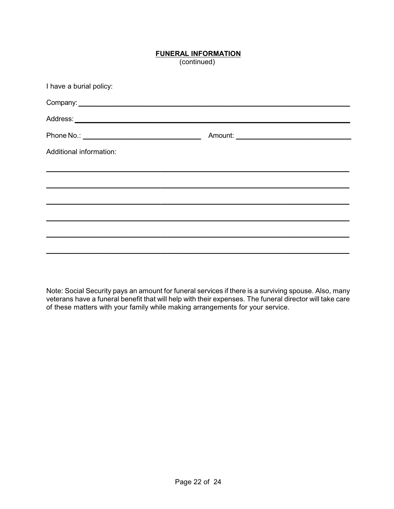### **FUNERAL INFORMATION**

(continued)

| I have a burial policy:                                                                                                                                                                                                            |  |
|------------------------------------------------------------------------------------------------------------------------------------------------------------------------------------------------------------------------------------|--|
| Company: <u>example</u> and the company of the company of the company of the company of the company of the company of the company of the company of the company of the company of the company of the company of the company of the |  |
|                                                                                                                                                                                                                                    |  |
|                                                                                                                                                                                                                                    |  |
| Additional information:                                                                                                                                                                                                            |  |
|                                                                                                                                                                                                                                    |  |
|                                                                                                                                                                                                                                    |  |
|                                                                                                                                                                                                                                    |  |
|                                                                                                                                                                                                                                    |  |
|                                                                                                                                                                                                                                    |  |
|                                                                                                                                                                                                                                    |  |
|                                                                                                                                                                                                                                    |  |

Note: Social Security pays an amount for funeral services if there is a surviving spouse. Also, many veterans have a funeral benefit that will help with their expenses. The funeral director will take care of these matters with your family while making arrangements for your service.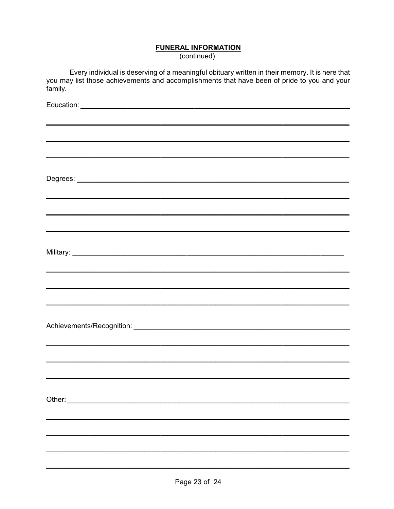### **FUNERAL INFORMATION**

(continued)

Every individual is deserving of a meaningful obituary written in their memory. It is here that<br>you may list those achievements and accomplishments that have been of pride to you and your family.